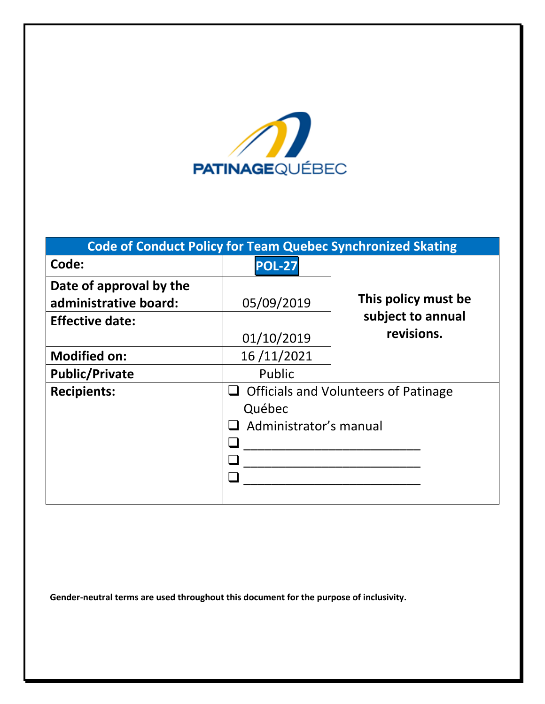

| <b>Code of Conduct Policy for Team Quebec Synchronized Skating</b> |                                             |                     |  |  |  |  |
|--------------------------------------------------------------------|---------------------------------------------|---------------------|--|--|--|--|
| Code:                                                              | <b>POL-27</b>                               |                     |  |  |  |  |
| Date of approval by the                                            |                                             |                     |  |  |  |  |
| administrative board:                                              | 05/09/2019                                  | This policy must be |  |  |  |  |
| <b>Effective date:</b>                                             |                                             | subject to annual   |  |  |  |  |
|                                                                    | 01/10/2019                                  | revisions.          |  |  |  |  |
| <b>Modified on:</b>                                                | 16/11/2021                                  |                     |  |  |  |  |
| <b>Public/Private</b>                                              | Public                                      |                     |  |  |  |  |
| <b>Recipients:</b>                                                 | <b>Officials and Volunteers of Patinage</b> |                     |  |  |  |  |
|                                                                    | Québec                                      |                     |  |  |  |  |
|                                                                    | Administrator's manual                      |                     |  |  |  |  |
|                                                                    |                                             |                     |  |  |  |  |
|                                                                    |                                             |                     |  |  |  |  |
|                                                                    |                                             |                     |  |  |  |  |
|                                                                    |                                             |                     |  |  |  |  |

**Gender-neutral terms are used throughout this document for the purpose of inclusivity.**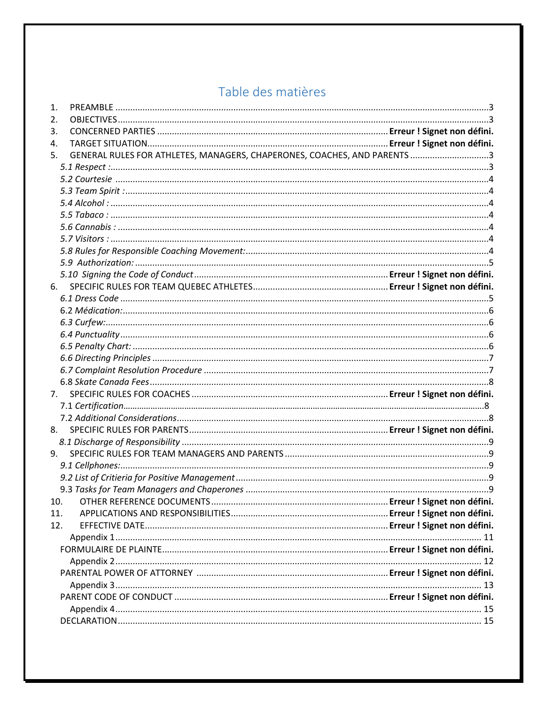# Table des matières

| 1.  |                                                                          |  |
|-----|--------------------------------------------------------------------------|--|
| 2.  |                                                                          |  |
| 3.  |                                                                          |  |
| 4.  |                                                                          |  |
| 5.  | GENERAL RULES FOR ATHLETES, MANAGERS, CHAPERONES, COACHES, AND PARENTS 3 |  |
|     |                                                                          |  |
|     |                                                                          |  |
|     |                                                                          |  |
|     |                                                                          |  |
|     |                                                                          |  |
|     |                                                                          |  |
|     |                                                                          |  |
|     |                                                                          |  |
|     |                                                                          |  |
|     |                                                                          |  |
| 6.  |                                                                          |  |
|     |                                                                          |  |
|     |                                                                          |  |
|     |                                                                          |  |
|     |                                                                          |  |
|     |                                                                          |  |
|     |                                                                          |  |
|     |                                                                          |  |
|     |                                                                          |  |
| 7.  |                                                                          |  |
|     |                                                                          |  |
|     |                                                                          |  |
| 8.  |                                                                          |  |
|     |                                                                          |  |
| 9.  |                                                                          |  |
|     |                                                                          |  |
|     |                                                                          |  |
|     |                                                                          |  |
|     | 10.                                                                      |  |
| 11. |                                                                          |  |
| 12. |                                                                          |  |
|     |                                                                          |  |
|     |                                                                          |  |
|     |                                                                          |  |
|     |                                                                          |  |
|     |                                                                          |  |
|     |                                                                          |  |
|     |                                                                          |  |
|     |                                                                          |  |
|     |                                                                          |  |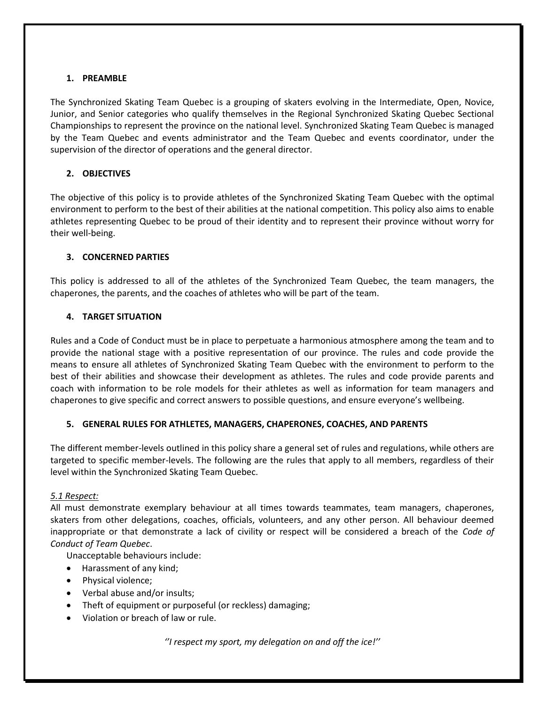### <span id="page-2-0"></span>**1. PREAMBLE**

The Synchronized Skating Team Quebec is a grouping of skaters evolving in the Intermediate, Open, Novice, Junior, and Senior categories who qualify themselves in the Regional Synchronized Skating Quebec Sectional Championships to represent the province on the national level. Synchronized Skating Team Quebec is managed by the Team Quebec and events administrator and the Team Quebec and events coordinator, under the supervision of the director of operations and the general director.

### <span id="page-2-1"></span>**2. OBJECTIVES**

The objective of this policy is to provide athletes of the Synchronized Skating Team Quebec with the optimal environment to perform to the best of their abilities at the national competition. This policy also aims to enable athletes representing Quebec to be proud of their identity and to represent their province without worry for their well-being.

### **3. CONCERNED PARTIES**

This policy is addressed to all of the athletes of the Synchronized Team Quebec, the team managers, the chaperones, the parents, and the coaches of athletes who will be part of the team.

### **4. TARGET SITUATION**

Rules and a Code of Conduct must be in place to perpetuate a harmonious atmosphere among the team and to provide the national stage with a positive representation of our province. The rules and code provide the means to ensure all athletes of Synchronized Skating Team Quebec with the environment to perform to the best of their abilities and showcase their development as athletes. The rules and code provide parents and coach with information to be role models for their athletes as well as information for team managers and chaperones to give specific and correct answers to possible questions, and ensure everyone's wellbeing.

### <span id="page-2-2"></span>**5. GENERAL RULES FOR ATHLETES, MANAGERS, CHAPERONES, COACHES, AND PARENTS**

The different member-levels outlined in this policy share a general set of rules and regulations, while others are targeted to specific member-levels. The following are the rules that apply to all members, regardless of their level within the Synchronized Skating Team Quebec.

### <span id="page-2-3"></span>*5.1 Respect:*

All must demonstrate exemplary behaviour at all times towards teammates, team managers, chaperones, skaters from other delegations, coaches, officials, volunteers, and any other person. All behaviour deemed inappropriate or that demonstrate a lack of civility or respect will be considered a breach of the *Code of Conduct of Team Quebec*.

Unacceptable behaviours include:

- Harassment of any kind;
- Physical violence;
- Verbal abuse and/or insults;
- Theft of equipment or purposeful (or reckless) damaging;
- Violation or breach of law or rule.

*''I respect my sport, my delegation on and off the ice!''*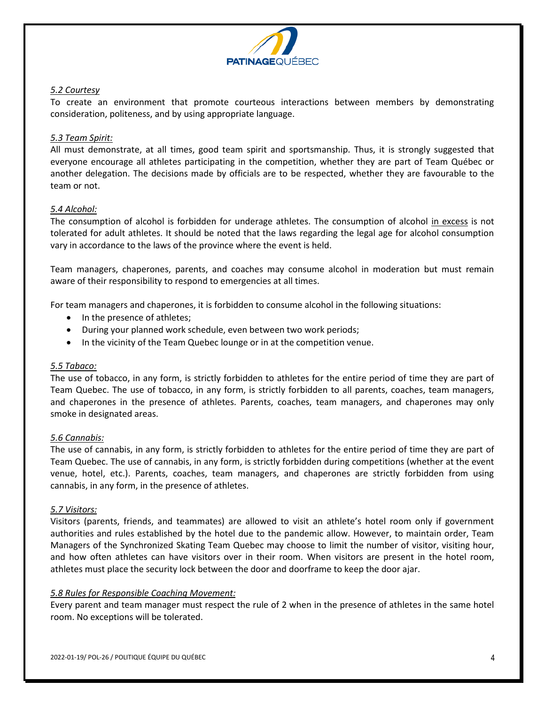

### <span id="page-3-0"></span>*5.2 Courtesy*

To create an environment that promote courteous interactions between members by demonstrating consideration, politeness, and by using appropriate language.

### <span id="page-3-1"></span>*5.3 Team Spirit:*

All must demonstrate, at all times, good team spirit and sportsmanship. Thus, it is strongly suggested that everyone encourage all athletes participating in the competition, whether they are part of Team Québec or another delegation. The decisions made by officials are to be respected, whether they are favourable to the team or not.

### <span id="page-3-2"></span>*5.4 Alcohol:*

The consumption of alcohol is forbidden for underage athletes. The consumption of alcohol in excess is not tolerated for adult athletes. It should be noted that the laws regarding the legal age for alcohol consumption vary in accordance to the laws of the province where the event is held.

Team managers, chaperones, parents, and coaches may consume alcohol in moderation but must remain aware of their responsibility to respond to emergencies at all times.

For team managers and chaperones, it is forbidden to consume alcohol in the following situations:

- In the presence of athletes;
- During your planned work schedule, even between two work periods;
- In the vicinity of the Team Quebec lounge or in at the competition venue.

### <span id="page-3-3"></span>*5.5 Tabaco:*

The use of tobacco, in any form, is strictly forbidden to athletes for the entire period of time they are part of Team Quebec. The use of tobacco, in any form, is strictly forbidden to all parents, coaches, team managers, and chaperones in the presence of athletes. Parents, coaches, team managers, and chaperones may only smoke in designated areas.

### <span id="page-3-4"></span>*5.6 Cannabis:*

The use of cannabis, in any form, is strictly forbidden to athletes for the entire period of time they are part of Team Quebec. The use of cannabis, in any form, is strictly forbidden during competitions (whether at the event venue, hotel, etc.). Parents, coaches, team managers, and chaperones are strictly forbidden from using cannabis, in any form, in the presence of athletes.

### <span id="page-3-5"></span>*5.7 Visitors:*

Visitors (parents, friends, and teammates) are allowed to visit an athlete's hotel room only if government authorities and rules established by the hotel due to the pandemic allow. However, to maintain order, Team Managers of the Synchronized Skating Team Quebec may choose to limit the number of visitor, visiting hour, and how often athletes can have visitors over in their room. When visitors are present in the hotel room, athletes must place the security lock between the door and doorframe to keep the door ajar.

### <span id="page-3-6"></span>*5.8 Rules for Responsible Coaching Movement:*

Every parent and team manager must respect the rule of 2 when in the presence of athletes in the same hotel room. No exceptions will be tolerated.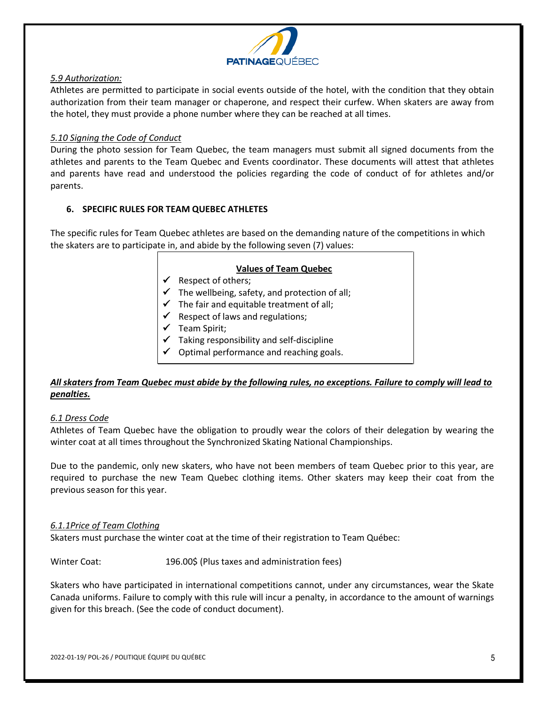

### <span id="page-4-0"></span>*5.9 Authorization:*

Athletes are permitted to participate in social events outside of the hotel, with the condition that they obtain authorization from their team manager or chaperone, and respect their curfew. When skaters are away from the hotel, they must provide a phone number where they can be reached at all times.

### *5.10 Signing the Code of Conduct*

During the photo session for Team Quebec, the team managers must submit all signed documents from the athletes and parents to the Team Quebec and Events coordinator. These documents will attest that athletes and parents have read and understood the policies regarding the code of conduct of for athletes and/or parents.

### **6. SPECIFIC RULES FOR TEAM QUEBEC ATHLETES**

The specific rules for Team Quebec athletes are based on the demanding nature of the competitions in which the skaters are to participate in, and abide by the following seven (7) values:

### **Values of Team Quebec**

- $\checkmark$  Respect of others;
- $\checkmark$  The wellbeing, safety, and protection of all;
- $\checkmark$  The fair and equitable treatment of all;
- $\checkmark$  Respect of laws and regulations;
- ✓ Team Spirit;
- $\checkmark$  Taking responsibility and self-discipline
- $\checkmark$  Optimal performance and reaching goals.

### *All skaters from Team Quebec must abide by the following rules, no exceptions. Failure to comply will lead to penalties.*

### <span id="page-4-1"></span>*6.1 Dress Code*

Athletes of Team Quebec have the obligation to proudly wear the colors of their delegation by wearing the winter coat at all times throughout the Synchronized Skating National Championships.

Due to the pandemic, only new skaters, who have not been members of team Quebec prior to this year, are required to purchase the new Team Quebec clothing items. Other skaters may keep their coat from the previous season for this year.

### *6.1.1Price of Team Clothing*

Skaters must purchase the winter coat at the time of their registration to Team Québec:

Winter Coat: 196.00\$ (Plus taxes and administration fees)

Skaters who have participated in international competitions cannot, under any circumstances, wear the Skate Canada uniforms. Failure to comply with this rule will incur a penalty, in accordance to the amount of warnings given for this breach. (See the code of conduct document).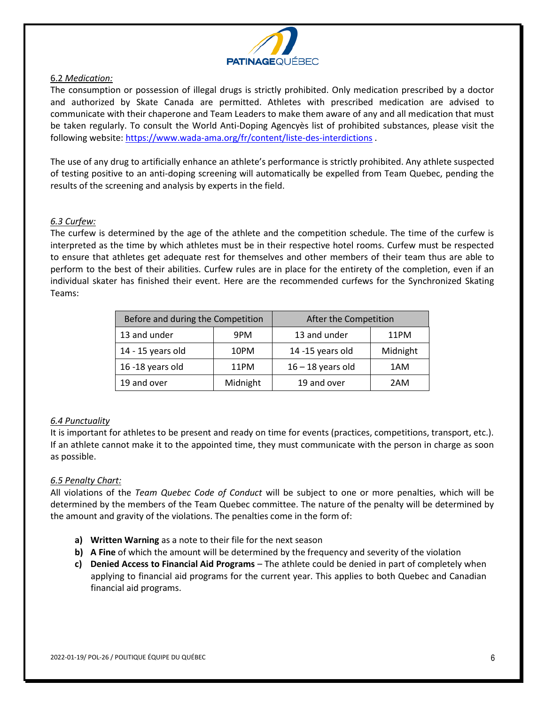

### <span id="page-5-0"></span>6.2 *Medication:*

The consumption or possession of illegal drugs is strictly prohibited. Only medication prescribed by a doctor and authorized by Skate Canada are permitted. Athletes with prescribed medication are advised to communicate with their chaperone and Team Leaders to make them aware of any and all medication that must be taken regularly. To consult the World Anti-Doping Agencyès list of prohibited substances, please visit the following website:<https://www.wada-ama.org/fr/content/liste-des-interdictions> .

The use of any drug to artificially enhance an athlete's performance is strictly prohibited. Any athlete suspected of testing positive to an anti-doping screening will automatically be expelled from Team Quebec, pending the results of the screening and analysis by experts in the field.

### <span id="page-5-1"></span>*6.3 Curfew:*

The curfew is determined by the age of the athlete and the competition schedule. The time of the curfew is interpreted as the time by which athletes must be in their respective hotel rooms. Curfew must be respected to ensure that athletes get adequate rest for themselves and other members of their team thus are able to perform to the best of their abilities. Curfew rules are in place for the entirety of the completion, even if an individual skater has finished their event. Here are the recommended curfews for the Synchronized Skating Teams:

| Before and during the Competition |          | After the Competition |          |  |
|-----------------------------------|----------|-----------------------|----------|--|
| 13 and under                      | 9PM      | 13 and under          | 11PM     |  |
| 14 - 15 years old<br>10PM         |          | 14 -15 years old      | Midnight |  |
| 16 -18 years old<br>11PM          |          | $16 - 18$ years old   | 1AM      |  |
| 19 and over                       | Midnight | 19 and over           | 2AM      |  |

### <span id="page-5-2"></span>*6.4 Punctuality*

It is important for athletes to be present and ready on time for events (practices, competitions, transport, etc.). If an athlete cannot make it to the appointed time, they must communicate with the person in charge as soon as possible.

### <span id="page-5-3"></span>*6.5 Penalty Chart:*

All violations of the *Team Quebec Code of Conduct* will be subject to one or more penalties, which will be determined by the members of the Team Quebec committee. The nature of the penalty will be determined by the amount and gravity of the violations. The penalties come in the form of:

- **a) Written Warning** as a note to their file for the next season
- **b)** A Fine of which the amount will be determined by the frequency and severity of the violation
- **c) Denied Access to Financial Aid Programs** The athlete could be denied in part of completely when applying to financial aid programs for the current year. This applies to both Quebec and Canadian financial aid programs.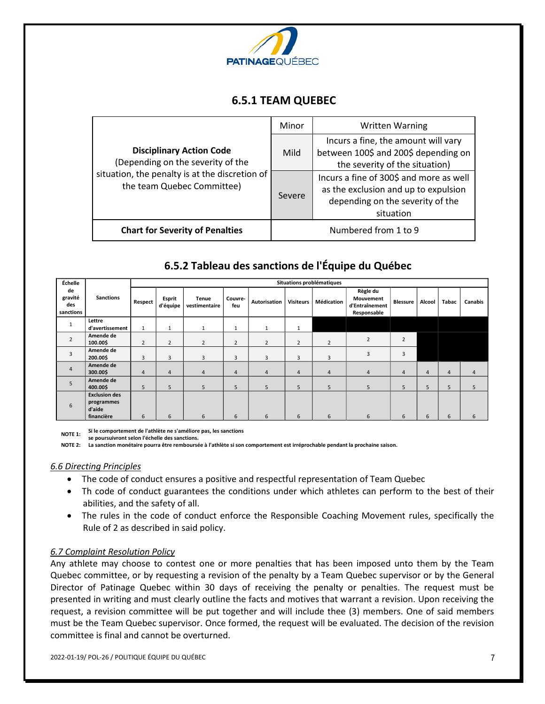

### **6.5.1 TEAM QUEBEC**

| <b>Disciplinary Action Code</b><br>(Depending on the severity of the<br>situation, the penalty is at the discretion of<br>the team Quebec Committee) | Minor                | <b>Written Warning</b>                                                                                                           |  |
|------------------------------------------------------------------------------------------------------------------------------------------------------|----------------------|----------------------------------------------------------------------------------------------------------------------------------|--|
|                                                                                                                                                      | Mild                 | Incurs a fine, the amount will vary<br>between 100\$ and 200\$ depending on<br>the severity of the situation)                    |  |
|                                                                                                                                                      | Severe               | Incurs a fine of 300\$ and more as well<br>as the exclusion and up to expulsion<br>depending on the severity of the<br>situation |  |
| <b>Chart for Severity of Penalties</b>                                                                                                               | Numbered from 1 to 9 |                                                                                                                                  |  |

### **6.5.2 Tableau des sanctions de l'Équipe du Québec**

| Échelle                           |                                                            | Situations problématiques |                    |                               |                |                |                  |                   |                                                        |                 |        |       |         |
|-----------------------------------|------------------------------------------------------------|---------------------------|--------------------|-------------------------------|----------------|----------------|------------------|-------------------|--------------------------------------------------------|-----------------|--------|-------|---------|
| de<br>gravité<br>des<br>sanctions | <b>Sanctions</b>                                           | Respect                   | Esprit<br>d'équipe | <b>Tenue</b><br>vestimentaire | Couvre-<br>feu | Autorisation   | <b>Visiteurs</b> | <b>Médication</b> | Règle du<br>Mouvement<br>d'Entraînement<br>Responsable | <b>Blessure</b> | Alcool | Tabac | Canabis |
| 1                                 | Lettre<br>d'avertissement                                  | 1                         | $\mathbf{1}$       | $\mathbf{1}$                  | 1              | 1              | 1                |                   |                                                        |                 |        |       |         |
| $\overline{2}$                    | Amende de<br>100.00\$                                      | 2                         | $\overline{2}$     | $\overline{2}$                | $\overline{2}$ | $\overline{2}$ | $\overline{2}$   | $\overline{2}$    | 2                                                      | $\overline{2}$  |        |       |         |
| 3                                 | Amende de<br>200.00\$                                      | 3                         | $\overline{3}$     | 3                             | 3              | 3              | $\overline{3}$   | 3                 | 3                                                      | 3               |        |       |         |
| 4                                 | Amende de<br>300.00\$                                      | 4                         | $\overline{4}$     | $\overline{4}$                | $\overline{4}$ | $\overline{4}$ | 4                | $\overline{4}$    | 4                                                      | 4               | 4      | 4     | 4       |
| 5                                 | Amende de<br>400.00\$                                      | 5                         | 5                  | 5                             | 5              | 5              | 5                | 5                 | 5                                                      | 5               | 5      | 5     | 5       |
| 6                                 | <b>Exclusion des</b><br>programmes<br>d'aide<br>financière | 6                         | 6                  | 6                             | 6              | 6              | 6                | 6                 | 6                                                      | 6               | 6      | 6     | 6       |

**NOTE 1: Si le comportement de l'athlète ne s'améliore pas, les sanctions** 

**se poursuivront selon l'échelle des sanctions.**

**NOTE 2: La sanction monétaire pourra être remboursée à l'athlète si son comportement est irréprochable pendant la prochaine saison.**

### <span id="page-6-0"></span>*6.6 Directing Principles*

- The code of conduct ensures a positive and respectful representation of Team Quebec
- Th code of conduct guarantees the conditions under which athletes can perform to the best of their abilities, and the safety of all.
- The rules in the code of conduct enforce the Responsible Coaching Movement rules, specifically the Rule of 2 as described in said policy.

### <span id="page-6-1"></span>*6.7 Complaint Resolution Policy*

Any athlete may choose to contest one or more penalties that has been imposed unto them by the Team Quebec committee, or by requesting a revision of the penalty by a Team Quebec supervisor or by the General Director of Patinage Quebec within 30 days of receiving the penalty or penalties. The request must be presented in writing and must clearly outline the facts and motives that warrant a revision. Upon receiving the request, a revision committee will be put together and will include thee (3) members. One of said members must be the Team Quebec supervisor. Once formed, the request will be evaluated. The decision of the revision committee is final and cannot be overturned.

2022-01-19/ POL-26 / POLITIQUE ÉQUIPE DU QUÉBEC 7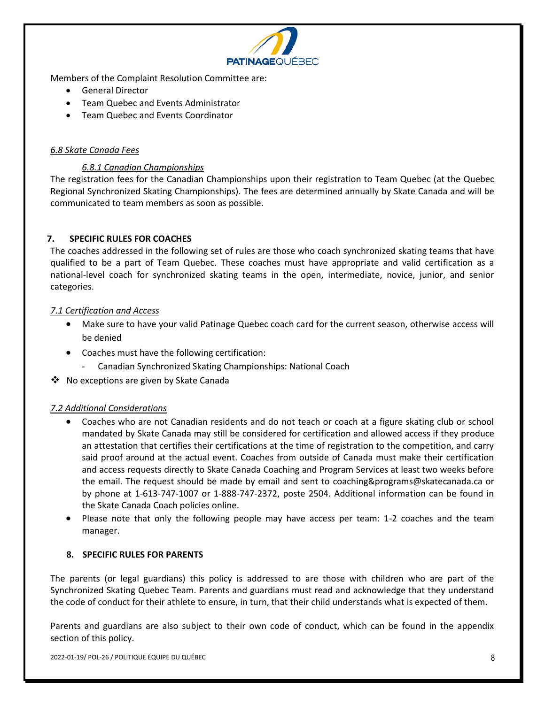

Members of the Complaint Resolution Committee are:

- General Director
- Team Quebec and Events Administrator
- Team Quebec and Events Coordinator

### <span id="page-7-0"></span>*6.8 Skate Canada Fees*

### *6.8.1 Canadian Championships*

The registration fees for the Canadian Championships upon their registration to Team Quebec (at the Quebec Regional Synchronized Skating Championships). The fees are determined annually by Skate Canada and will be communicated to team members as soon as possible.

### **7. SPECIFIC RULES FOR COACHES**

The coaches addressed in the following set of rules are those who coach synchronized skating teams that have qualified to be a part of Team Quebec. These coaches must have appropriate and valid certification as a national-level coach for synchronized skating teams in the open, intermediate, novice, junior, and senior categories.

### *7.1 Certification and Access*

- Make sure to have your valid Patinage Quebec coach card for the current season, otherwise access will be denied
- Coaches must have the following certification:
	- Canadian Synchronized Skating Championships: National Coach
- ❖ No exceptions are given by Skate Canada

### <span id="page-7-1"></span>*7.2 Additional Considerations*

- Coaches who are not Canadian residents and do not teach or coach at a figure skating club or school mandated by Skate Canada may still be considered for certification and allowed access if they produce an attestation that certifies their certifications at the time of registration to the competition, and carry said proof around at the actual event. Coaches from outside of Canada must make their certification and access requests directly to Skate Canada Coaching and Program Services at least two weeks before the email. The request should be made by email and sent to [coaching&programs@skatecanada.ca](mailto:coaching&programs@skatecanada.ca) or by phone at 1-613-747-1007 or 1-888-747-2372, poste 2504. Additional information can be found in the Skate Canada Coach policies online.
- Please note that only the following people may have access per team: 1-2 coaches and the team manager.

### **8. SPECIFIC RULES FOR PARENTS**

The parents (or legal guardians) this policy is addressed to are those with children who are part of the Synchronized Skating Quebec Team. Parents and guardians must read and acknowledge that they understand the code of conduct for their athlete to ensure, in turn, that their child understands what is expected of them.

Parents and guardians are also subject to their own code of conduct, which can be found in the appendix section of this policy.

2022-01-19/ POL-26 / POLITIQUE ÉQUIPE DU QUÉBEC 8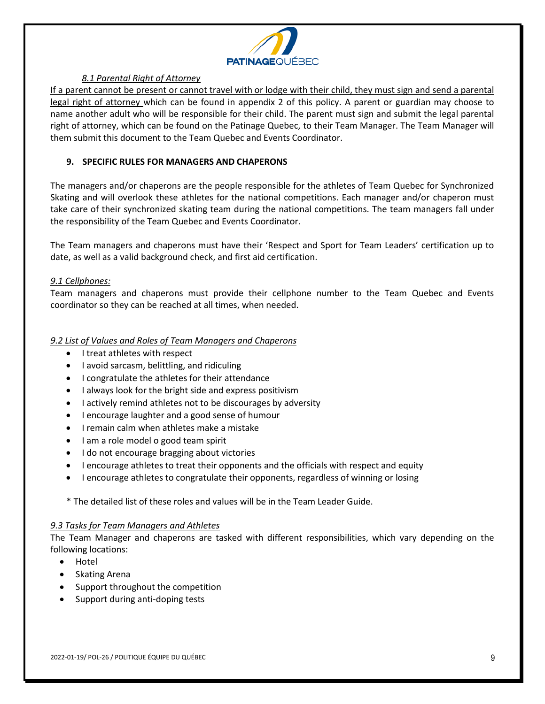

### *8.1 Parental Right of Attorney*

<span id="page-8-0"></span>If a parent cannot be present or cannot travel with or lodge with their child, they must sign and send a parental legal right of attorney which can be found in appendix 2 of this policy. A parent or guardian may choose to name another adult who will be responsible for their child. The parent must sign and submit the legal parental right of attorney, which can be found on the Patinage Quebec, to their Team Manager. The Team Manager will them submit this document to the Team Quebec and Events Coordinator.

### <span id="page-8-1"></span>**9. SPECIFIC RULES FOR MANAGERS AND CHAPERONS**

The managers and/or chaperons are the people responsible for the athletes of Team Quebec for Synchronized Skating and will overlook these athletes for the national competitions. Each manager and/or chaperon must take care of their synchronized skating team during the national competitions. The team managers fall under the responsibility of the Team Quebec and Events Coordinator.

The Team managers and chaperons must have their 'Respect and Sport for Team Leaders' certification up to date, as well as a valid background check, and first aid certification.

### <span id="page-8-2"></span>*9.1 Cellphones:*

Team managers and chaperons must provide their cellphone number to the Team Quebec and Events coordinator so they can be reached at all times, when needed.

### <span id="page-8-3"></span>*9.2 List of Values and Roles of Team Managers and Chaperons*

- I treat athletes with respect
- I avoid sarcasm, belittling, and ridiculing
- I congratulate the athletes for their attendance
- I always look for the bright side and express positivism
- I actively remind athletes not to be discourages by adversity
- I encourage laughter and a good sense of humour
- I remain calm when athletes make a mistake
- I am a role model o good team spirit
- I do not encourage bragging about victories
- I encourage athletes to treat their opponents and the officials with respect and equity
- I encourage athletes to congratulate their opponents, regardless of winning or losing

\* The detailed list of these roles and values will be in the Team Leader Guide.

### <span id="page-8-4"></span>*9.3 Tasks for Team Managers and Athletes*

The Team Manager and chaperons are tasked with different responsibilities, which vary depending on the following locations:

- Hotel
- Skating Arena
- Support throughout the competition
- Support during anti-doping tests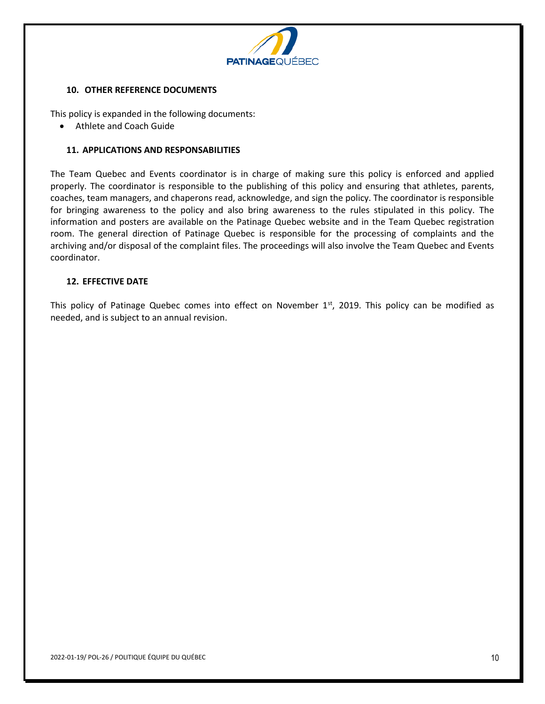

### **10. OTHER REFERENCE DOCUMENTS**

This policy is expanded in the following documents:

• Athlete and Coach Guide

### **11. APPLICATIONS AND RESPONSABILITIES**

The Team Quebec and Events coordinator is in charge of making sure this policy is enforced and applied properly. The coordinator is responsible to the publishing of this policy and ensuring that athletes, parents, coaches, team managers, and chaperons read, acknowledge, and sign the policy. The coordinator is responsible for bringing awareness to the policy and also bring awareness to the rules stipulated in this policy. The information and posters are available on the Patinage Quebec website and in the Team Quebec registration room. The general direction of Patinage Quebec is responsible for the processing of complaints and the archiving and/or disposal of the complaint files. The proceedings will also involve the Team Quebec and Events coordinator.

### **12. EFFECTIVE DATE**

<span id="page-9-0"></span>This policy of Patinage Quebec comes into effect on November  $1<sup>st</sup>$ , 2019. This policy can be modified as needed, and is subject to an annual revision.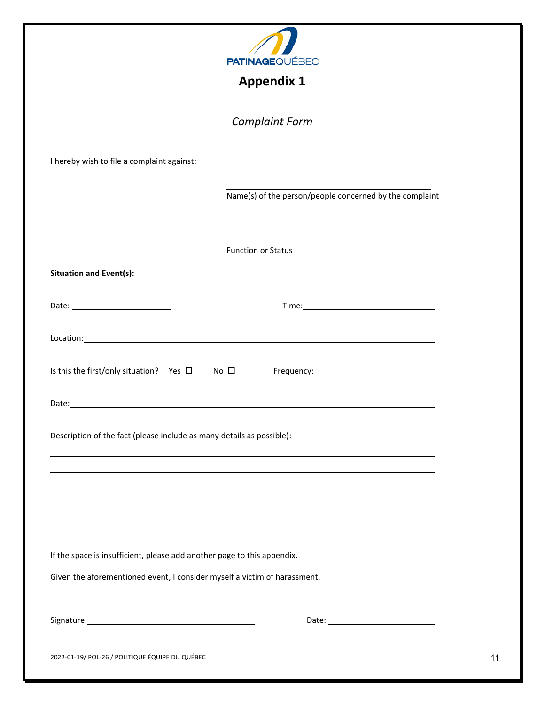|                                                                           | <b>PATINAGEQUÉBEC</b><br><b>Appendix 1</b>                                                           |
|---------------------------------------------------------------------------|------------------------------------------------------------------------------------------------------|
|                                                                           |                                                                                                      |
|                                                                           | <b>Complaint Form</b>                                                                                |
| I hereby wish to file a complaint against:                                |                                                                                                      |
|                                                                           |                                                                                                      |
|                                                                           | Name(s) of the person/people concerned by the complaint                                              |
|                                                                           |                                                                                                      |
|                                                                           | <b>Function or Status</b>                                                                            |
| <b>Situation and Event(s):</b>                                            |                                                                                                      |
|                                                                           |                                                                                                      |
|                                                                           |                                                                                                      |
|                                                                           |                                                                                                      |
| Is this the first/only situation? Yes $\square$ No $\square$              |                                                                                                      |
|                                                                           |                                                                                                      |
|                                                                           | Description of the fact (please include as many details as possible): ______________________________ |
|                                                                           |                                                                                                      |
|                                                                           | ,我们也不会有什么。""我们的人,我们也不会有什么?""我们的人,我们也不会有什么?""我们的人,我们也不会有什么?""我们的人,我们也不会有什么?""我们的人                     |
|                                                                           | ,我们也不会有什么。""我们的人,我们也不会有什么?""我们的人,我们也不会有什么?""我们的人,我们也不会有什么?""我们的人,我们也不会有什么?""我们的人                     |
|                                                                           |                                                                                                      |
|                                                                           |                                                                                                      |
|                                                                           |                                                                                                      |
| If the space is insufficient, please add another page to this appendix.   |                                                                                                      |
| Given the aforementioned event, I consider myself a victim of harassment. |                                                                                                      |
|                                                                           |                                                                                                      |
|                                                                           |                                                                                                      |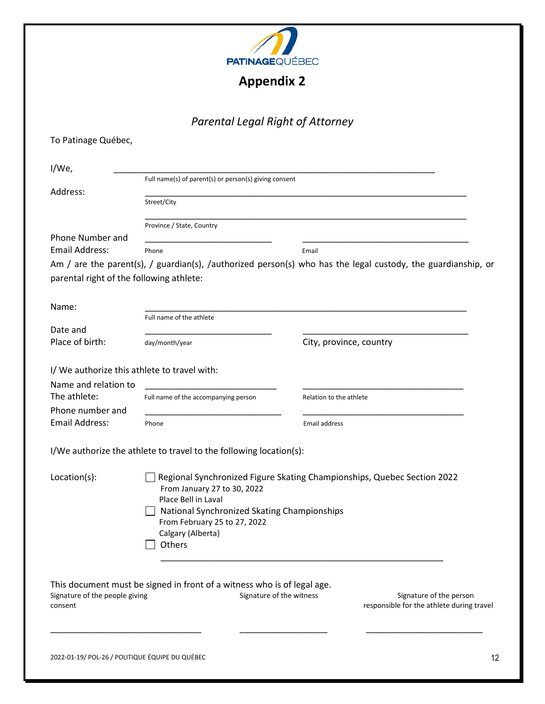

**Appendix 2**

## *Parental Legal Right of Attorney*

<span id="page-11-0"></span>

|                                             | Furchtur Leyur Night of Attorney                                                                                                                                                                                                            |                         |                                                                      |  |
|---------------------------------------------|---------------------------------------------------------------------------------------------------------------------------------------------------------------------------------------------------------------------------------------------|-------------------------|----------------------------------------------------------------------|--|
| To Patinage Québec,                         |                                                                                                                                                                                                                                             |                         |                                                                      |  |
| I/We,                                       |                                                                                                                                                                                                                                             |                         |                                                                      |  |
| Address:                                    | Full name(s) of parent(s) or person(s) giving consent                                                                                                                                                                                       |                         |                                                                      |  |
|                                             | Street/City                                                                                                                                                                                                                                 |                         |                                                                      |  |
|                                             | Province / State, Country                                                                                                                                                                                                                   |                         |                                                                      |  |
| Phone Number and<br><b>Email Address:</b>   | Phone                                                                                                                                                                                                                                       | Email                   |                                                                      |  |
|                                             | Am / are the parent(s), / guardian(s), / authorized person(s) who has the legal custody, the guardianship, or                                                                                                                               |                         |                                                                      |  |
| parental right of the following athlete:    |                                                                                                                                                                                                                                             |                         |                                                                      |  |
|                                             |                                                                                                                                                                                                                                             |                         |                                                                      |  |
| Name:                                       |                                                                                                                                                                                                                                             |                         |                                                                      |  |
|                                             | Full name of the athlete                                                                                                                                                                                                                    |                         |                                                                      |  |
| Date and<br>Place of birth:                 | day/month/year                                                                                                                                                                                                                              | City, province, country |                                                                      |  |
| I/We authorize this athlete to travel with: |                                                                                                                                                                                                                                             |                         |                                                                      |  |
| Name and relation to<br>The athlete:        | Full name of the accompanying person                                                                                                                                                                                                        | Relation to the athlete |                                                                      |  |
| Phone number and<br><b>Email Address:</b>   | Phone                                                                                                                                                                                                                                       | Email address           |                                                                      |  |
|                                             | I/We authorize the athlete to travel to the following location(s):                                                                                                                                                                          |                         |                                                                      |  |
| Location(s):                                | Regional Synchronized Figure Skating Championships, Quebec Section 2022<br>From January 27 to 30, 2022<br>Place Bell in Laval<br>National Synchronized Skating Championships<br>From February 25 to 27, 2022<br>Calgary (Alberta)<br>Others |                         |                                                                      |  |
| Signature of the people giving<br>consent   | This document must be signed in front of a witness who is of legal age.<br>Signature of the witness                                                                                                                                         |                         | Signature of the person<br>responsible for the athlete during travel |  |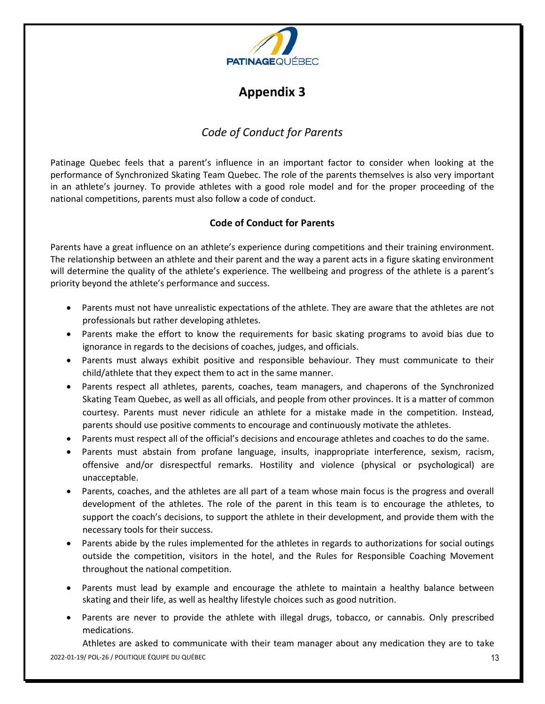

# **Appendix 3**

# *Code of Conduct for Parents*

<span id="page-12-0"></span>Patinage Quebec feels that a parent's influence in an important factor to consider when looking at the performance of Synchronized Skating Team Quebec. The role of the parents themselves is also very important in an athlete's journey. To provide athletes with a good role model and for the proper proceeding of the national competitions, parents must also follow a code of conduct.

### **Code of Conduct for Parents**

Parents have a great influence on an athlete's experience during competitions and their training environment. The relationship between an athlete and their parent and the way a parent acts in a figure skating environment will determine the quality of the athlete's experience. The wellbeing and progress of the athlete is a parent's priority beyond the athlete's performance and success.

- Parents must not have unrealistic expectations of the athlete. They are aware that the athletes are not professionals but rather developing athletes.
- Parents make the effort to know the requirements for basic skating programs to avoid bias due to ignorance in regards to the decisions of coaches, judges, and officials.
- Parents must always exhibit positive and responsible behaviour. They must communicate to their child/athlete that they expect them to act in the same manner.
- Parents respect all athletes, parents, coaches, team managers, and chaperons of the Synchronized Skating Team Quebec, as well as all officials, and people from other provinces. It is a matter of common courtesy. Parents must never ridicule an athlete for a mistake made in the competition. Instead, parents should use positive comments to encourage and continuously motivate the athletes.
- Parents must respect all of the official's decisions and encourage athletes and coaches to do the same.
- Parents must abstain from profane language, insults, inappropriate interference, sexism, racism, offensive and/or disrespectful remarks. Hostility and violence (physical or psychological) are unacceptable.
- Parents, coaches, and the athletes are all part of a team whose main focus is the progress and overall development of the athletes. The role of the parent in this team is to encourage the athletes, to support the coach's decisions, to support the athlete in their development, and provide them with the necessary tools for their success.
- Parents abide by the rules implemented for the athletes in regards to authorizations for social outings outside the competition, visitors in the hotel, and the Rules for Responsible Coaching Movement throughout the national competition.
- Parents must lead by example and encourage the athlete to maintain a healthy balance between skating and their life, as well as healthy lifestyle choices such as good nutrition.
- Parents are never to provide the athlete with illegal drugs, tobacco, or cannabis. Only prescribed medications.

2022-01-19/ POL-26 / POLITIQUE ÉQUIPE DU QUÉBEC 13 Athletes are asked to communicate with their team manager about any medication they are to take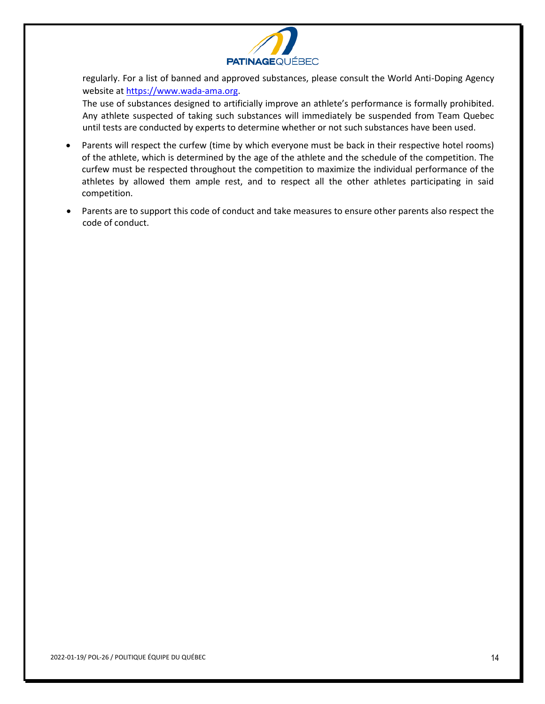

regularly. For a list of banned and approved substances, please consult the World Anti-Doping Agency website a[t https://www.wada-ama.org.](https://www.wada-ama.org/)

The use of substances designed to artificially improve an athlete's performance is formally prohibited. Any athlete suspected of taking such substances will immediately be suspended from Team Quebec until tests are conducted by experts to determine whether or not such substances have been used.

- Parents will respect the curfew (time by which everyone must be back in their respective hotel rooms) of the athlete, which is determined by the age of the athlete and the schedule of the competition. The curfew must be respected throughout the competition to maximize the individual performance of the athletes by allowed them ample rest, and to respect all the other athletes participating in said competition.
- Parents are to support this code of conduct and take measures to ensure other parents also respect the code of conduct.